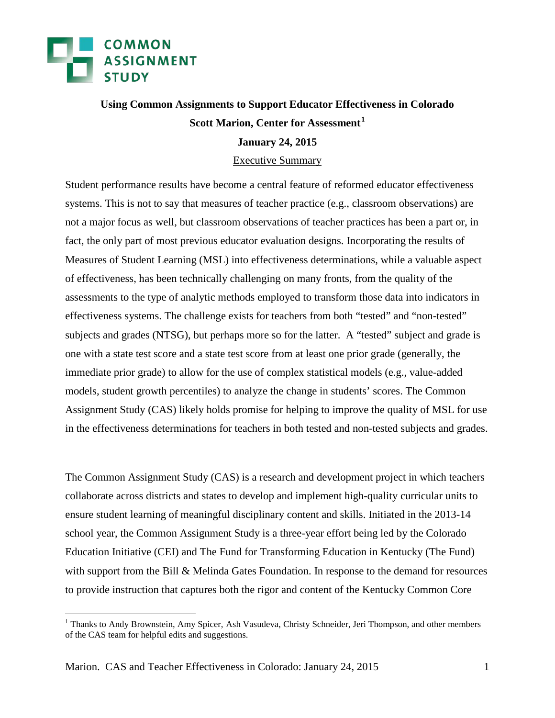

### **Using Common Assignments to Support Educator Effectiveness in Colorado Scott Marion, Center for Assessment[1](#page-0-0)**

#### **January 24, 2015**

#### Executive Summary

Student performance results have become a central feature of reformed educator effectiveness systems. This is not to say that measures of teacher practice (e.g., classroom observations) are not a major focus as well, but classroom observations of teacher practices has been a part or, in fact, the only part of most previous educator evaluation designs. Incorporating the results of Measures of Student Learning (MSL) into effectiveness determinations, while a valuable aspect of effectiveness, has been technically challenging on many fronts, from the quality of the assessments to the type of analytic methods employed to transform those data into indicators in effectiveness systems. The challenge exists for teachers from both "tested" and "non-tested" subjects and grades (NTSG), but perhaps more so for the latter. A "tested" subject and grade is one with a state test score and a state test score from at least one prior grade (generally, the immediate prior grade) to allow for the use of complex statistical models (e.g., value-added models, student growth percentiles) to analyze the change in students' scores. The Common Assignment Study (CAS) likely holds promise for helping to improve the quality of MSL for use in the effectiveness determinations for teachers in both tested and non-tested subjects and grades.

The Common Assignment Study (CAS) is a research and development project in which teachers collaborate across districts and states to develop and implement high-quality curricular units to ensure student learning of meaningful disciplinary content and skills. Initiated in the 2013-14 school year, the Common Assignment Study is a three-year effort being led by the Colorado Education Initiative (CEI) and The Fund for Transforming Education in Kentucky (The Fund) with support from the Bill & Melinda Gates Foundation. In response to the demand for resources to provide instruction that captures both the rigor and content of the Kentucky Common Core

<span id="page-0-0"></span><sup>&</sup>lt;sup>1</sup> Thanks to Andy Brownstein, Amy Spicer, Ash Vasudeva, Christy Schneider, Jeri Thompson, and other members of the CAS team for helpful edits and suggestions.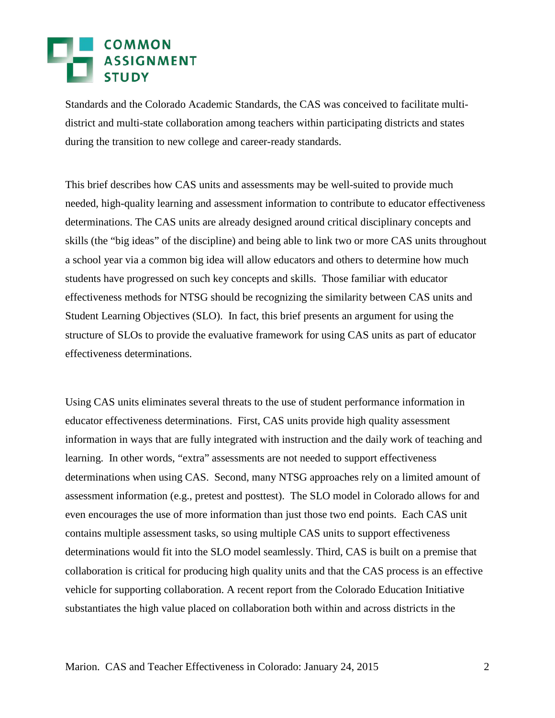## COMMON<br>ASSIGNMENT

Standards and the Colorado Academic Standards, the CAS was conceived to facilitate multidistrict and multi-state collaboration among teachers within participating districts and states during the transition to new college and career-ready standards.

This brief describes how CAS units and assessments may be well-suited to provide much needed, high-quality learning and assessment information to contribute to educator effectiveness determinations. The CAS units are already designed around critical disciplinary concepts and skills (the "big ideas" of the discipline) and being able to link two or more CAS units throughout a school year via a common big idea will allow educators and others to determine how much students have progressed on such key concepts and skills. Those familiar with educator effectiveness methods for NTSG should be recognizing the similarity between CAS units and Student Learning Objectives (SLO). In fact, this brief presents an argument for using the structure of SLOs to provide the evaluative framework for using CAS units as part of educator effectiveness determinations.

Using CAS units eliminates several threats to the use of student performance information in educator effectiveness determinations. First, CAS units provide high quality assessment information in ways that are fully integrated with instruction and the daily work of teaching and learning. In other words, "extra" assessments are not needed to support effectiveness determinations when using CAS. Second, many NTSG approaches rely on a limited amount of assessment information (e.g., pretest and posttest). The SLO model in Colorado allows for and even encourages the use of more information than just those two end points. Each CAS unit contains multiple assessment tasks, so using multiple CAS units to support effectiveness determinations would fit into the SLO model seamlessly. Third, CAS is built on a premise that collaboration is critical for producing high quality units and that the CAS process is an effective vehicle for supporting collaboration. A recent report from the Colorado Education Initiative substantiates the high value placed on collaboration both within and across districts in the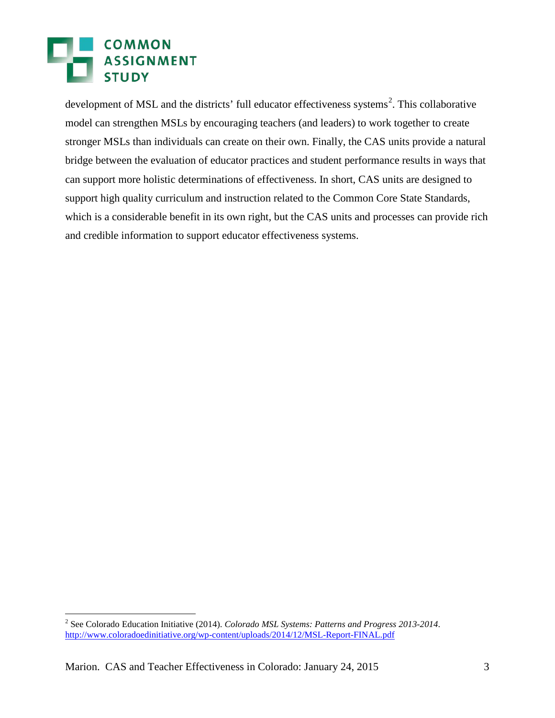### **COMMON** ASSIGNMENT **STUDY**

development of MSL and the districts' full educator effectiveness systems<sup>[2](#page-0-0)</sup>. This collaborative model can strengthen MSLs by encouraging teachers (and leaders) to work together to create stronger MSLs than individuals can create on their own. Finally, the CAS units provide a natural bridge between the evaluation of educator practices and student performance results in ways that can support more holistic determinations of effectiveness. In short, CAS units are designed to support high quality curriculum and instruction related to the Common Core State Standards, which is a considerable benefit in its own right, but the CAS units and processes can provide rich and credible information to support educator effectiveness systems.

<span id="page-2-0"></span> <sup>2</sup> See Colorado Education Initiative (2014). *Colorado MSL Systems: Patterns and Progress 2013-2014*. <http://www.coloradoedinitiative.org/wp-content/uploads/2014/12/MSL-Report-FINAL.pdf>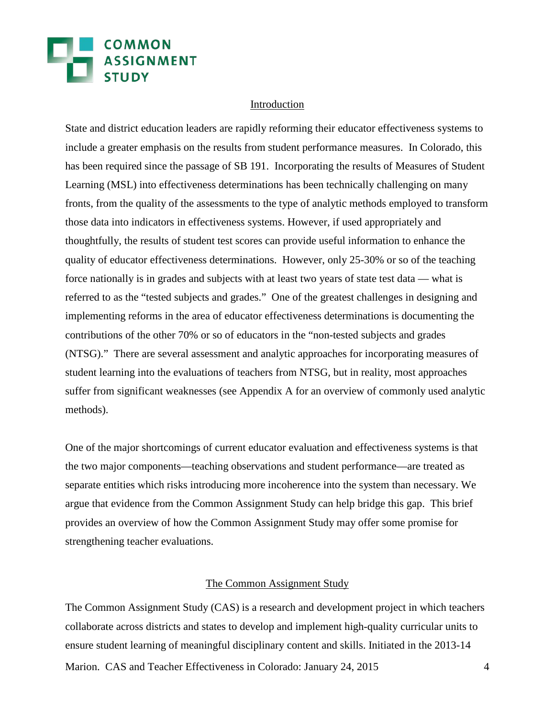# COMMON<br>ASSIGNMENT

#### Introduction

State and district education leaders are rapidly reforming their educator effectiveness systems to include a greater emphasis on the results from student performance measures. In Colorado, this has been required since the passage of SB 191. Incorporating the results of Measures of Student Learning (MSL) into effectiveness determinations has been technically challenging on many fronts, from the quality of the assessments to the type of analytic methods employed to transform those data into indicators in effectiveness systems. However, if used appropriately and thoughtfully, the results of student test scores can provide useful information to enhance the quality of educator effectiveness determinations. However, only 25-30% or so of the teaching force nationally is in grades and subjects with at least two years of state test data — what is referred to as the "tested subjects and grades." One of the greatest challenges in designing and implementing reforms in the area of educator effectiveness determinations is documenting the contributions of the other 70% or so of educators in the "non-tested subjects and grades (NTSG)." There are several assessment and analytic approaches for incorporating measures of student learning into the evaluations of teachers from NTSG, but in reality, most approaches suffer from significant weaknesses (see Appendix A for an overview of commonly used analytic methods).

One of the major shortcomings of current educator evaluation and effectiveness systems is that the two major components—teaching observations and student performance—are treated as separate entities which risks introducing more incoherence into the system than necessary. We argue that evidence from the Common Assignment Study can help bridge this gap. This brief provides an overview of how the Common Assignment Study may offer some promise for strengthening teacher evaluations.

#### The Common Assignment Study

Marion. CAS and Teacher Effectiveness in Colorado: January 24, 2015 4 The Common Assignment Study (CAS) is a research and development project in which teachers collaborate across districts and states to develop and implement high-quality curricular units to ensure student learning of meaningful disciplinary content and skills. Initiated in the 2013-14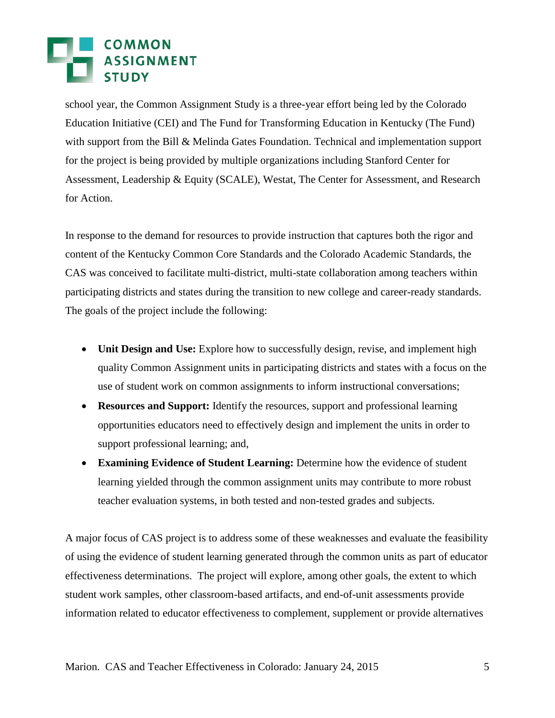# **EN COMMON<br>EN ASSIGNMENT<br>EN STUDY**

school year, the Common Assignment Study is a three-year effort being led by the Colorado Education Initiative (CEI) and The Fund for Transforming Education in Kentucky (The Fund) with support from the Bill & Melinda Gates Foundation. Technical and implementation support for the project is being provided by multiple organizations including Stanford Center for Assessment, Leadership & Equity (SCALE), Westat, The Center for Assessment, and Research for Action.

In response to the demand for resources to provide instruction that captures both the rigor and content of the Kentucky Common Core Standards and the Colorado Academic Standards, the CAS was conceived to facilitate multi-district, multi-state collaboration among teachers within participating districts and states during the transition to new college and career-ready standards. The goals of the project include the following:

- **Unit Design and Use:** Explore how to successfully design, revise, and implement high quality Common Assignment units in participating districts and states with a focus on the use of student work on common assignments to inform instructional conversations;
- **Resources and Support:** Identify the resources, support and professional learning opportunities educators need to effectively design and implement the units in order to support professional learning; and,
- **Examining Evidence of Student Learning:** Determine how the evidence of student learning yielded through the common assignment units may contribute to more robust teacher evaluation systems, in both tested and non-tested grades and subjects.

A major focus of CAS project is to address some of these weaknesses and evaluate the feasibility of using the evidence of student learning generated through the common units as part of educator effectiveness determinations. The project will explore, among other goals, the extent to which student work samples, other classroom-based artifacts, and end-of-unit assessments provide information related to educator effectiveness to complement, supplement or provide alternatives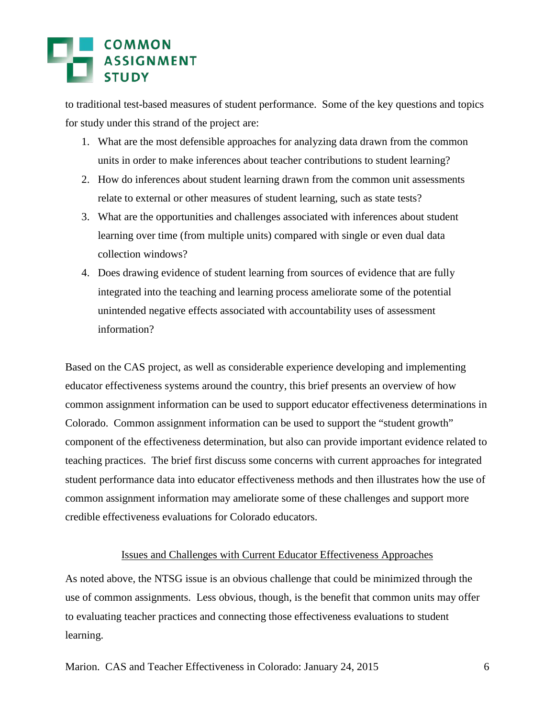to traditional test-based measures of student performance. Some of the key questions and topics for study under this strand of the project are:

- 1. What are the most defensible approaches for analyzing data drawn from the common units in order to make inferences about teacher contributions to student learning?
- 2. How do inferences about student learning drawn from the common unit assessments relate to external or other measures of student learning, such as state tests?
- 3. What are the opportunities and challenges associated with inferences about student learning over time (from multiple units) compared with single or even dual data collection windows?
- 4. Does drawing evidence of student learning from sources of evidence that are fully integrated into the teaching and learning process ameliorate some of the potential unintended negative effects associated with accountability uses of assessment information?

Based on the CAS project, as well as considerable experience developing and implementing educator effectiveness systems around the country, this brief presents an overview of how common assignment information can be used to support educator effectiveness determinations in Colorado. Common assignment information can be used to support the "student growth" component of the effectiveness determination, but also can provide important evidence related to teaching practices. The brief first discuss some concerns with current approaches for integrated student performance data into educator effectiveness methods and then illustrates how the use of common assignment information may ameliorate some of these challenges and support more credible effectiveness evaluations for Colorado educators.

#### Issues and Challenges with Current Educator Effectiveness Approaches

As noted above, the NTSG issue is an obvious challenge that could be minimized through the use of common assignments. Less obvious, though, is the benefit that common units may offer to evaluating teacher practices and connecting those effectiveness evaluations to student learning.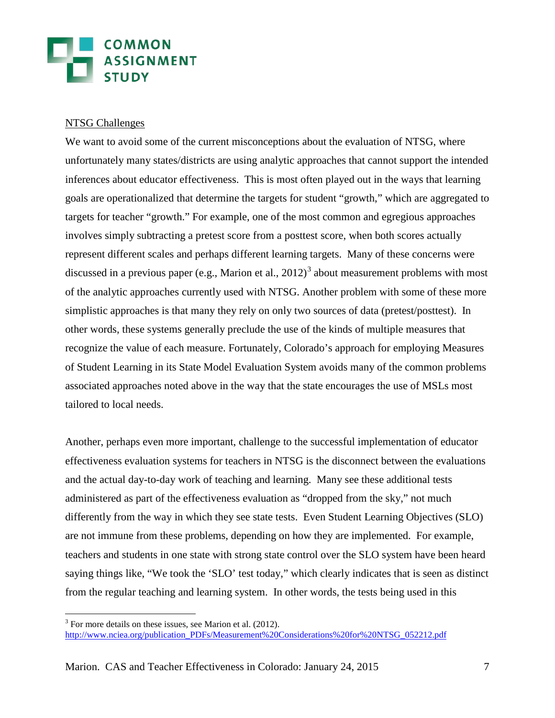#### NTSG Challenges

We want to avoid some of the current misconceptions about the evaluation of NTSG, where unfortunately many states/districts are using analytic approaches that cannot support the intended inferences about educator effectiveness. This is most often played out in the ways that learning goals are operationalized that determine the targets for student "growth," which are aggregated to targets for teacher "growth." For example, one of the most common and egregious approaches involves simply subtracting a pretest score from a posttest score, when both scores actually represent different scales and perhaps different learning targets. Many of these concerns were discussed in a previous paper (e.g., Marion et al.,  $2012$ )<sup>[3](#page-2-0)</sup> about measurement problems with most of the analytic approaches currently used with NTSG. Another problem with some of these more simplistic approaches is that many they rely on only two sources of data (pretest/posttest). In other words, these systems generally preclude the use of the kinds of multiple measures that recognize the value of each measure. Fortunately, Colorado's approach for employing Measures of Student Learning in its State Model Evaluation System avoids many of the common problems associated approaches noted above in the way that the state encourages the use of MSLs most tailored to local needs.

Another, perhaps even more important, challenge to the successful implementation of educator effectiveness evaluation systems for teachers in NTSG is the disconnect between the evaluations and the actual day-to-day work of teaching and learning. Many see these additional tests administered as part of the effectiveness evaluation as "dropped from the sky," not much differently from the way in which they see state tests. Even Student Learning Objectives (SLO) are not immune from these problems, depending on how they are implemented. For example, teachers and students in one state with strong state control over the SLO system have been heard saying things like, "We took the 'SLO' test today," which clearly indicates that is seen as distinct from the regular teaching and learning system. In other words, the tests being used in this

<span id="page-6-0"></span> $3$  For more details on these issues, see Marion et al. (2012). [http://www.nciea.org/publication\\_PDFs/Measurement%20Considerations%20for%20NTSG\\_052212.pdf](http://www.nciea.org/publication_PDFs/Measurement%20Considerations%20for%20NTSG_052212.pdf)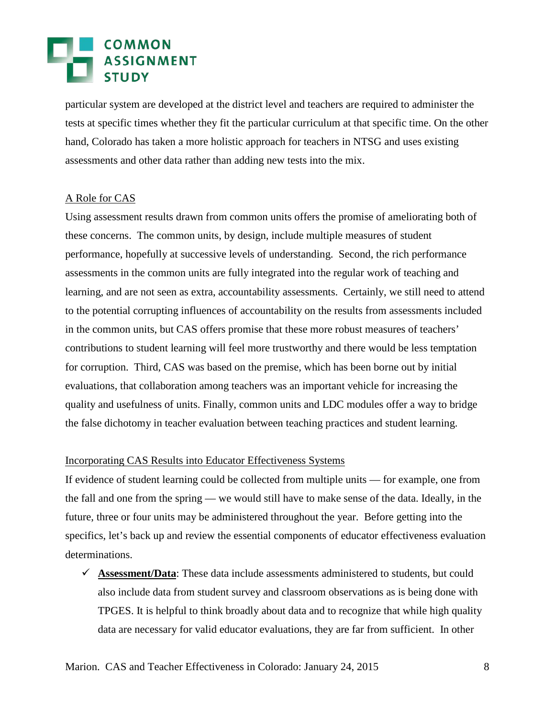## **EN COMMON<br>EN ASSIGNMENT<br>EN STUDY**

particular system are developed at the district level and teachers are required to administer the tests at specific times whether they fit the particular curriculum at that specific time. On the other hand, Colorado has taken a more holistic approach for teachers in NTSG and uses existing assessments and other data rather than adding new tests into the mix.

#### A Role for CAS

Using assessment results drawn from common units offers the promise of ameliorating both of these concerns. The common units, by design, include multiple measures of student performance, hopefully at successive levels of understanding. Second, the rich performance assessments in the common units are fully integrated into the regular work of teaching and learning, and are not seen as extra, accountability assessments. Certainly, we still need to attend to the potential corrupting influences of accountability on the results from assessments included in the common units, but CAS offers promise that these more robust measures of teachers' contributions to student learning will feel more trustworthy and there would be less temptation for corruption. Third, CAS was based on the premise, which has been borne out by initial evaluations, that collaboration among teachers was an important vehicle for increasing the quality and usefulness of units. Finally, common units and LDC modules offer a way to bridge the false dichotomy in teacher evaluation between teaching practices and student learning.

#### Incorporating CAS Results into Educator Effectiveness Systems

If evidence of student learning could be collected from multiple units — for example, one from the fall and one from the spring — we would still have to make sense of the data. Ideally, in the future, three or four units may be administered throughout the year. Before getting into the specifics, let's back up and review the essential components of educator effectiveness evaluation determinations.

 $\checkmark$  Assessment/Data: These data include assessments administered to students, but could also include data from student survey and classroom observations as is being done with TPGES. It is helpful to think broadly about data and to recognize that while high quality data are necessary for valid educator evaluations, they are far from sufficient. In other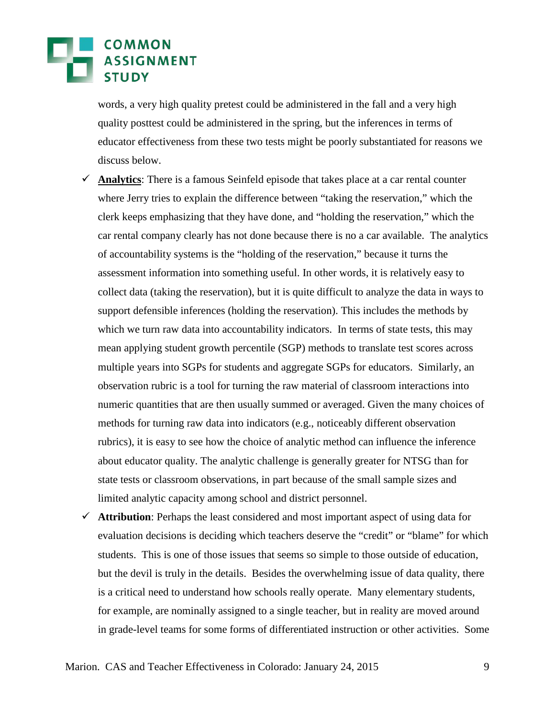## COMMON

words, a very high quality pretest could be administered in the fall and a very high quality posttest could be administered in the spring, but the inferences in terms of educator effectiveness from these two tests might be poorly substantiated for reasons we discuss below.

- **Analytics**: There is a famous Seinfeld episode that takes place at a car rental counter where Jerry tries to explain the difference between "taking the reservation," which the clerk keeps emphasizing that they have done, and "holding the reservation," which the car rental company clearly has not done because there is no a car available. The analytics of accountability systems is the "holding of the reservation," because it turns the assessment information into something useful. In other words, it is relatively easy to collect data (taking the reservation), but it is quite difficult to analyze the data in ways to support defensible inferences (holding the reservation). This includes the methods by which we turn raw data into accountability indicators. In terms of state tests, this may mean applying student growth percentile (SGP) methods to translate test scores across multiple years into SGPs for students and aggregate SGPs for educators. Similarly, an observation rubric is a tool for turning the raw material of classroom interactions into numeric quantities that are then usually summed or averaged. Given the many choices of methods for turning raw data into indicators (e.g., noticeably different observation rubrics), it is easy to see how the choice of analytic method can influence the inference about educator quality. The analytic challenge is generally greater for NTSG than for state tests or classroom observations, in part because of the small sample sizes and limited analytic capacity among school and district personnel.
- **Attribution**: Perhaps the least considered and most important aspect of using data for evaluation decisions is deciding which teachers deserve the "credit" or "blame" for which students. This is one of those issues that seems so simple to those outside of education, but the devil is truly in the details. Besides the overwhelming issue of data quality, there is a critical need to understand how schools really operate. Many elementary students, for example, are nominally assigned to a single teacher, but in reality are moved around in grade-level teams for some forms of differentiated instruction or other activities. Some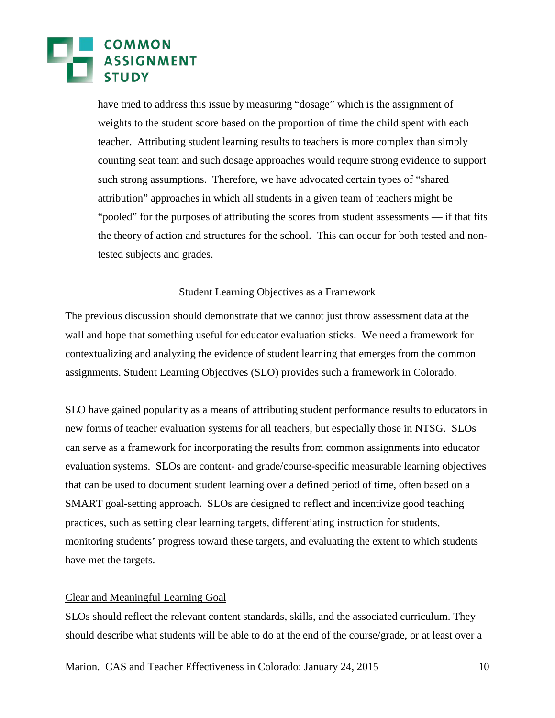have tried to address this issue by measuring "dosage" which is the assignment of weights to the student score based on the proportion of time the child spent with each teacher. Attributing student learning results to teachers is more complex than simply counting seat team and such dosage approaches would require strong evidence to support such strong assumptions. Therefore, we have advocated certain types of "shared attribution" approaches in which all students in a given team of teachers might be "pooled" for the purposes of attributing the scores from student assessments — if that fits the theory of action and structures for the school. This can occur for both tested and nontested subjects and grades.

#### Student Learning Objectives as a Framework

The previous discussion should demonstrate that we cannot just throw assessment data at the wall and hope that something useful for educator evaluation sticks. We need a framework for contextualizing and analyzing the evidence of student learning that emerges from the common assignments. Student Learning Objectives (SLO) provides such a framework in Colorado.

SLO have gained popularity as a means of attributing student performance results to educators in new forms of teacher evaluation systems for all teachers, but especially those in NTSG. SLOs can serve as a framework for incorporating the results from common assignments into educator evaluation systems. SLOs are content- and grade/course-specific measurable learning objectives that can be used to document student learning over a defined period of time, often based on a SMART goal-setting approach. SLOs are designed to reflect and incentivize good teaching practices, such as setting clear learning targets, differentiating instruction for students, monitoring students' progress toward these targets, and evaluating the extent to which students have met the targets.

#### Clear and Meaningful Learning Goal

SLOs should reflect the relevant content standards, skills, and the associated curriculum. They should describe what students will be able to do at the end of the course/grade, or at least over a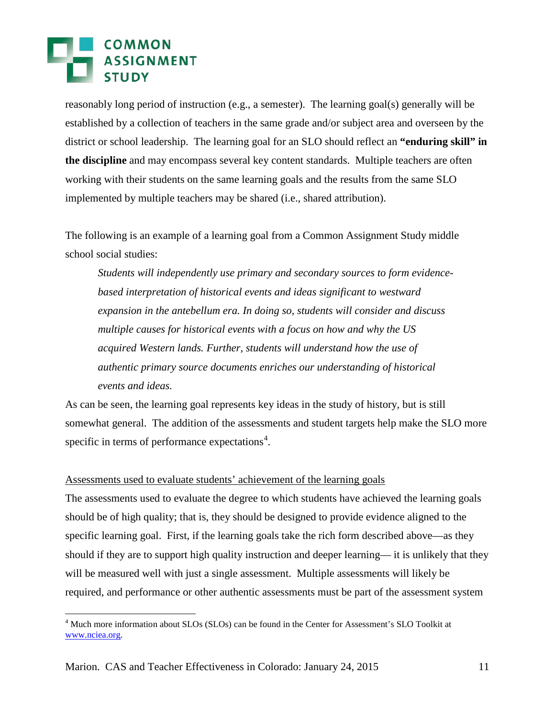reasonably long period of instruction (e.g., a semester). The learning goal(s) generally will be established by a collection of teachers in the same grade and/or subject area and overseen by the district or school leadership. The learning goal for an SLO should reflect an **"enduring skill" in the discipline** and may encompass several key content standards. Multiple teachers are often working with their students on the same learning goals and the results from the same SLO implemented by multiple teachers may be shared (i.e., shared attribution).

The following is an example of a learning goal from a Common Assignment Study middle school social studies:

*Students will independently use primary and secondary sources to form evidencebased interpretation of historical events and ideas significant to westward expansion in the antebellum era. In doing so, students will consider and discuss multiple causes for historical events with a focus on how and why the US acquired Western lands. Further, students will understand how the use of authentic primary source documents enriches our understanding of historical events and ideas.*

As can be seen, the learning goal represents key ideas in the study of history, but is still somewhat general. The addition of the assessments and student targets help make the SLO more specific in terms of performance expectations<sup>[4](#page-6-0)</sup>.

#### Assessments used to evaluate students' achievement of the learning goals

The assessments used to evaluate the degree to which students have achieved the learning goals should be of high quality; that is, they should be designed to provide evidence aligned to the specific learning goal. First, if the learning goals take the rich form described above—as they should if they are to support high quality instruction and deeper learning— it is unlikely that they will be measured well with just a single assessment. Multiple assessments will likely be required, and performance or other authentic assessments must be part of the assessment system

<span id="page-10-0"></span><sup>&</sup>lt;sup>4</sup> Much more information about SLOs (SLOs) can be found in the Center for Assessment's SLO Toolkit at [www.nciea.org.](http://www.nciea.org/)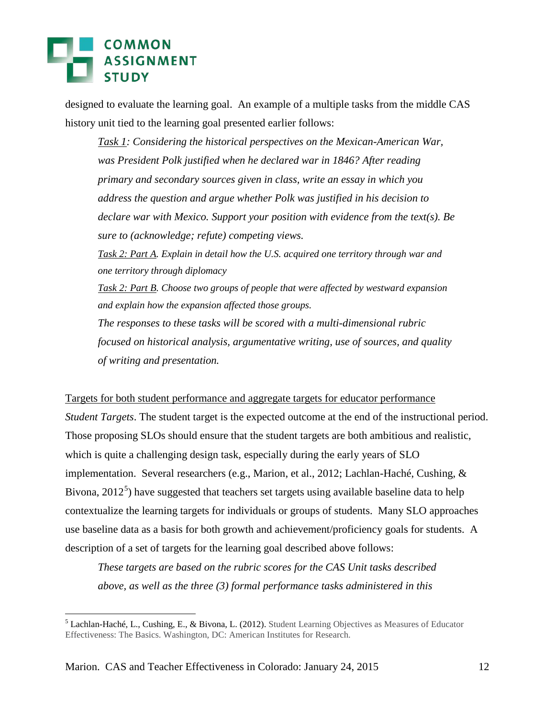## **COMMON**<br>ASSIGNMENT

designed to evaluate the learning goal. An example of a multiple tasks from the middle CAS history unit tied to the learning goal presented earlier follows:

*Task 1: Considering the historical perspectives on the Mexican-American War, was President Polk justified when he declared war in 1846? After reading primary and secondary sources given in class, write an essay in which you address the question and argue whether Polk was justified in his decision to declare war with Mexico. Support your position with evidence from the text(s). Be sure to (acknowledge; refute) competing views. Task 2: Part A. Explain in detail how the U.S. acquired one territory through war and one territory through diplomacy Task 2: Part B. Choose two groups of people that were affected by westward expansion and explain how the expansion affected those groups. The responses to these tasks will be scored with a multi-dimensional rubric focused on historical analysis, argumentative writing, use of sources, and quality of writing and presentation.*

Targets for both student performance and aggregate targets for educator performance *Student Targets*. The student target is the expected outcome at the end of the instructional period. Those proposing SLOs should ensure that the student targets are both ambitious and realistic, which is quite a challenging design task, especially during the early years of SLO implementation. Several researchers (e.g., Marion, et al., 2012; Lachlan-Haché, Cushing, & Bivona, 2012<sup>[5](#page-10-0)</sup>) have suggested that teachers set targets using available baseline data to help contextualize the learning targets for individuals or groups of students. Many SLO approaches use baseline data as a basis for both growth and achievement/proficiency goals for students. A description of a set of targets for the learning goal described above follows:

*These targets are based on the rubric scores for the CAS Unit tasks described above, as well as the three (3) formal performance tasks administered in this* 

<span id="page-11-0"></span> <sup>5</sup> Lachlan-Haché, L., Cushing, E., & Bivona, L. (2012). Student Learning Objectives as Measures of Educator Effectiveness: The Basics. Washington, DC: American Institutes for Research.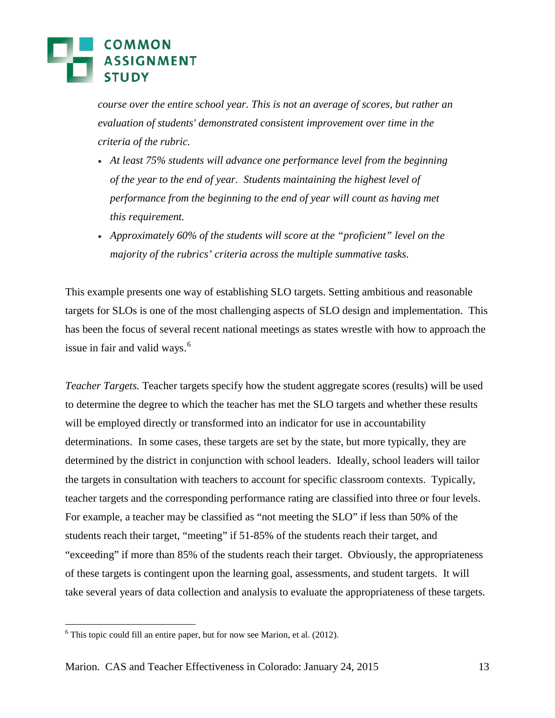*course over the entire school year. This is not an average of scores, but rather an evaluation of students' demonstrated consistent improvement over time in the criteria of the rubric.*

- *At least 75% students will advance one performance level from the beginning of the year to the end of year. Students maintaining the highest level of performance from the beginning to the end of year will count as having met this requirement.*
- *Approximately 60% of the students will score at the "proficient" level on the majority of the rubrics' criteria across the multiple summative tasks.*

This example presents one way of establishing SLO targets. Setting ambitious and reasonable targets for SLOs is one of the most challenging aspects of SLO design and implementation. This has been the focus of several recent national meetings as states wrestle with how to approach the issue in fair and valid ways.<sup>[6](#page-11-0)</sup>

*Teacher Targets.* Teacher targets specify how the student aggregate scores (results) will be used to determine the degree to which the teacher has met the SLO targets and whether these results will be employed directly or transformed into an indicator for use in accountability determinations. In some cases, these targets are set by the state, but more typically, they are determined by the district in conjunction with school leaders. Ideally, school leaders will tailor the targets in consultation with teachers to account for specific classroom contexts. Typically, teacher targets and the corresponding performance rating are classified into three or four levels. For example, a teacher may be classified as "not meeting the SLO" if less than 50% of the students reach their target, "meeting" if 51-85% of the students reach their target, and "exceeding" if more than 85% of the students reach their target. Obviously, the appropriateness of these targets is contingent upon the learning goal, assessments, and student targets. It will take several years of data collection and analysis to evaluate the appropriateness of these targets.

<span id="page-12-0"></span> $6$  This topic could fill an entire paper, but for now see Marion, et al. (2012).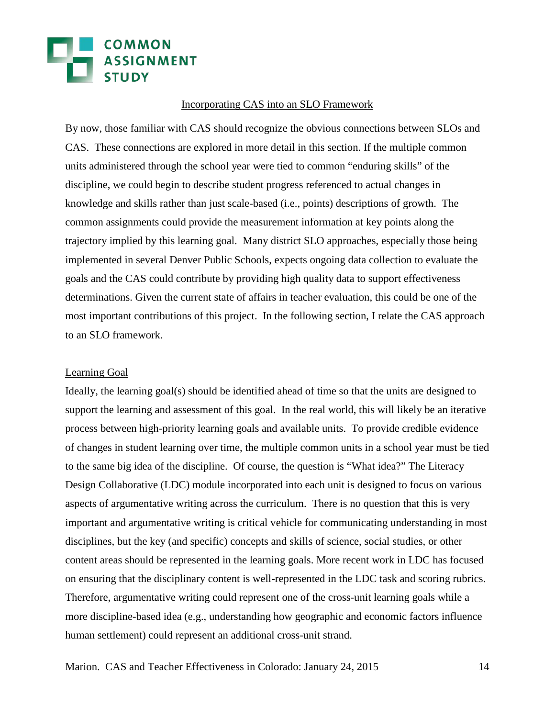# **EN COMMON<br>ASSIGNMENT**

#### Incorporating CAS into an SLO Framework

By now, those familiar with CAS should recognize the obvious connections between SLOs and CAS. These connections are explored in more detail in this section. If the multiple common units administered through the school year were tied to common "enduring skills" of the discipline, we could begin to describe student progress referenced to actual changes in knowledge and skills rather than just scale-based (i.e., points) descriptions of growth. The common assignments could provide the measurement information at key points along the trajectory implied by this learning goal. Many district SLO approaches, especially those being implemented in several Denver Public Schools, expects ongoing data collection to evaluate the goals and the CAS could contribute by providing high quality data to support effectiveness determinations. Given the current state of affairs in teacher evaluation, this could be one of the most important contributions of this project. In the following section, I relate the CAS approach to an SLO framework.

#### Learning Goal

Ideally, the learning goal(s) should be identified ahead of time so that the units are designed to support the learning and assessment of this goal. In the real world, this will likely be an iterative process between high-priority learning goals and available units. To provide credible evidence of changes in student learning over time, the multiple common units in a school year must be tied to the same big idea of the discipline. Of course, the question is "What idea?" The Literacy Design Collaborative (LDC) module incorporated into each unit is designed to focus on various aspects of argumentative writing across the curriculum. There is no question that this is very important and argumentative writing is critical vehicle for communicating understanding in most disciplines, but the key (and specific) concepts and skills of science, social studies, or other content areas should be represented in the learning goals. More recent work in LDC has focused on ensuring that the disciplinary content is well-represented in the LDC task and scoring rubrics. Therefore, argumentative writing could represent one of the cross-unit learning goals while a more discipline-based idea (e.g., understanding how geographic and economic factors influence human settlement) could represent an additional cross-unit strand.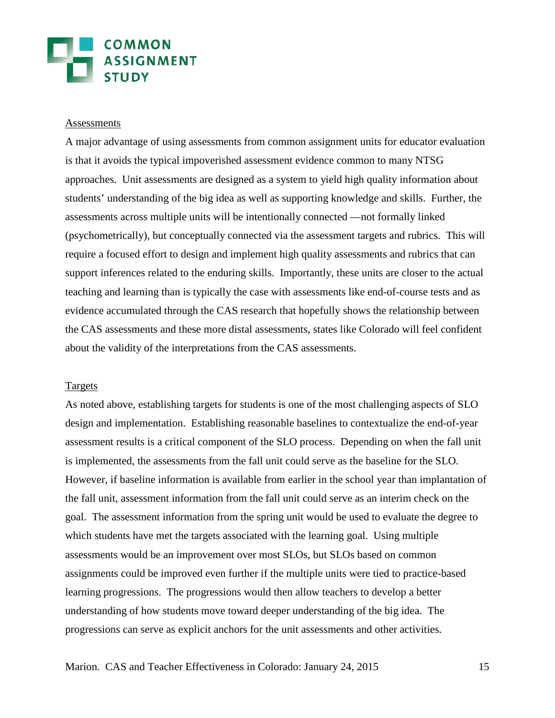# COMMON<br>ASSIGNMENT

#### Assessments

A major advantage of using assessments from common assignment units for educator evaluation is that it avoids the typical impoverished assessment evidence common to many NTSG approaches. Unit assessments are designed as a system to yield high quality information about students' understanding of the big idea as well as supporting knowledge and skills. Further, the assessments across multiple units will be intentionally connected —not formally linked (psychometrically), but conceptually connected via the assessment targets and rubrics. This will require a focused effort to design and implement high quality assessments and rubrics that can support inferences related to the enduring skills. Importantly, these units are closer to the actual teaching and learning than is typically the case with assessments like end-of-course tests and as evidence accumulated through the CAS research that hopefully shows the relationship between the CAS assessments and these more distal assessments, states like Colorado will feel confident about the validity of the interpretations from the CAS assessments.

#### Targets

As noted above, establishing targets for students is one of the most challenging aspects of SLO design and implementation. Establishing reasonable baselines to contextualize the end-of-year assessment results is a critical component of the SLO process. Depending on when the fall unit is implemented, the assessments from the fall unit could serve as the baseline for the SLO. However, if baseline information is available from earlier in the school year than implantation of the fall unit, assessment information from the fall unit could serve as an interim check on the goal. The assessment information from the spring unit would be used to evaluate the degree to which students have met the targets associated with the learning goal. Using multiple assessments would be an improvement over most SLOs, but SLOs based on common assignments could be improved even further if the multiple units were tied to practice-based learning progressions. The progressions would then allow teachers to develop a better understanding of how students move toward deeper understanding of the big idea. The progressions can serve as explicit anchors for the unit assessments and other activities.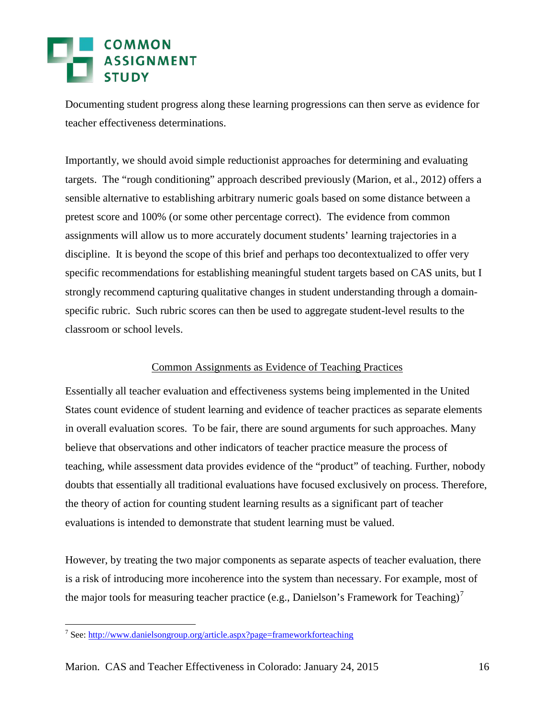Documenting student progress along these learning progressions can then serve as evidence for teacher effectiveness determinations.

Importantly, we should avoid simple reductionist approaches for determining and evaluating targets. The "rough conditioning" approach described previously (Marion, et al., 2012) offers a sensible alternative to establishing arbitrary numeric goals based on some distance between a pretest score and 100% (or some other percentage correct). The evidence from common assignments will allow us to more accurately document students' learning trajectories in a discipline. It is beyond the scope of this brief and perhaps too decontextualized to offer very specific recommendations for establishing meaningful student targets based on CAS units, but I strongly recommend capturing qualitative changes in student understanding through a domainspecific rubric. Such rubric scores can then be used to aggregate student-level results to the classroom or school levels.

#### Common Assignments as Evidence of Teaching Practices

Essentially all teacher evaluation and effectiveness systems being implemented in the United States count evidence of student learning and evidence of teacher practices as separate elements in overall evaluation scores. To be fair, there are sound arguments for such approaches. Many believe that observations and other indicators of teacher practice measure the process of teaching, while assessment data provides evidence of the "product" of teaching. Further, nobody doubts that essentially all traditional evaluations have focused exclusively on process. Therefore, the theory of action for counting student learning results as a significant part of teacher evaluations is intended to demonstrate that student learning must be valued.

However, by treating the two major components as separate aspects of teacher evaluation, there is a risk of introducing more incoherence into the system than necessary. For example, most of the major tools for measuring teacher practice (e.g., Danielson's Framework for Teaching)<sup>[7](#page-12-0)</sup>

<span id="page-15-0"></span> <sup>7</sup> See:<http://www.danielsongroup.org/article.aspx?page=frameworkforteaching>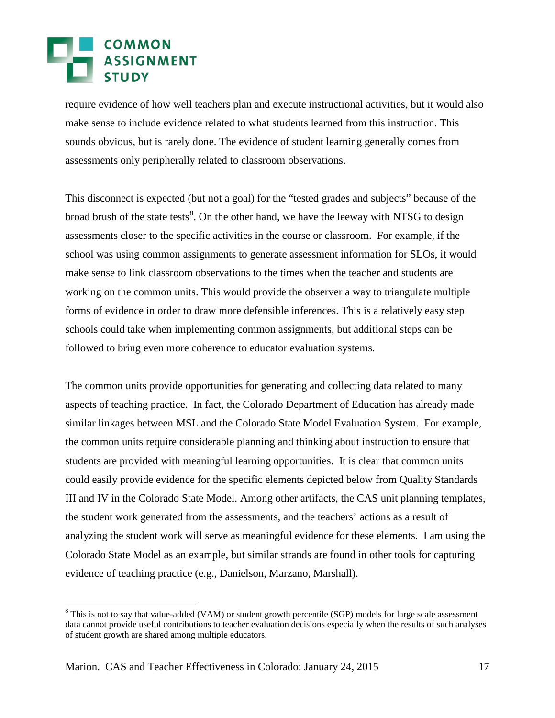## **EN COMMON<br>ASSIGNMENT**

require evidence of how well teachers plan and execute instructional activities, but it would also make sense to include evidence related to what students learned from this instruction. This sounds obvious, but is rarely done. The evidence of student learning generally comes from assessments only peripherally related to classroom observations.

This disconnect is expected (but not a goal) for the "tested grades and subjects" because of the broad brush of the state tests<sup>[8](#page-15-0)</sup>. On the other hand, we have the leeway with NTSG to design assessments closer to the specific activities in the course or classroom. For example, if the school was using common assignments to generate assessment information for SLOs, it would make sense to link classroom observations to the times when the teacher and students are working on the common units. This would provide the observer a way to triangulate multiple forms of evidence in order to draw more defensible inferences. This is a relatively easy step schools could take when implementing common assignments, but additional steps can be followed to bring even more coherence to educator evaluation systems.

The common units provide opportunities for generating and collecting data related to many aspects of teaching practice. In fact, the Colorado Department of Education has already made similar linkages between MSL and the Colorado State Model Evaluation System. For example, the common units require considerable planning and thinking about instruction to ensure that students are provided with meaningful learning opportunities. It is clear that common units could easily provide evidence for the specific elements depicted below from Quality Standards III and IV in the Colorado State Model. Among other artifacts, the CAS unit planning templates, the student work generated from the assessments, and the teachers' actions as a result of analyzing the student work will serve as meaningful evidence for these elements. I am using the Colorado State Model as an example, but similar strands are found in other tools for capturing evidence of teaching practice (e.g., Danielson, Marzano, Marshall).

<span id="page-16-0"></span><sup>&</sup>lt;sup>8</sup> This is not to say that value-added (VAM) or student growth percentile (SGP) models for large scale assessment data cannot provide useful contributions to teacher evaluation decisions especially when the results of such analyses of student growth are shared among multiple educators.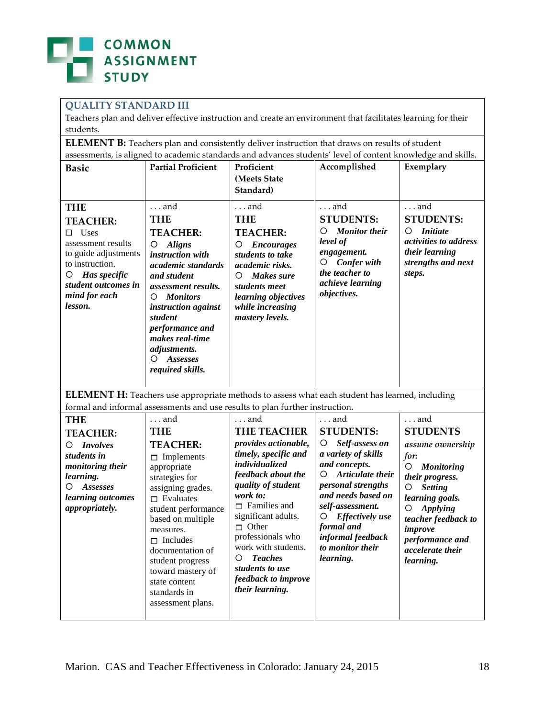

#### **QUALITY STANDARD III**

Teachers plan and deliver effective instruction and create an environment that facilitates learning for their students.

**ELEMENT B:** Teachers plan and consistently deliver instruction that draws on results of student assessments, is aligned to academic standards and advances students' level of content knowledge and skills.

| <b>Basic</b>                                                                                                                                                                          | <b>Partial Proficient</b>                                                                                                                                                                                                                                                                                                            | Proficient<br>(Meets State<br>Standard)                                                                                                                                                                                                                                                                                                                                                                                                                                                                                                                                                                                                                  | Accomplished                                                                                                                                                             | Exemplary                                                                                                                                                                                                                                    |  |
|---------------------------------------------------------------------------------------------------------------------------------------------------------------------------------------|--------------------------------------------------------------------------------------------------------------------------------------------------------------------------------------------------------------------------------------------------------------------------------------------------------------------------------------|----------------------------------------------------------------------------------------------------------------------------------------------------------------------------------------------------------------------------------------------------------------------------------------------------------------------------------------------------------------------------------------------------------------------------------------------------------------------------------------------------------------------------------------------------------------------------------------------------------------------------------------------------------|--------------------------------------------------------------------------------------------------------------------------------------------------------------------------|----------------------------------------------------------------------------------------------------------------------------------------------------------------------------------------------------------------------------------------------|--|
| <b>THE</b><br><b>TEACHER:</b><br>$\Box$ Uses<br>assessment results<br>to guide adjustments<br>to instruction.<br>Has specific<br>O<br>student outcomes in<br>mind for each<br>lesson. | $\ldots$ and<br><b>THE</b><br><b>TEACHER:</b><br><b>Aligns</b><br>O<br>instruction with<br>academic standards<br>and student<br><i>assessment results.</i><br><b>Monitors</b><br>O<br>instruction against<br>student<br>performance and<br>makes real-time<br>adjustments.<br><b>Assesses</b><br>O<br>required skills.               | and<br><b>THE</b><br><b>TEACHER:</b><br><b>Encourages</b><br>O<br>students to take<br>academic risks.<br>Makes sure<br>O<br>students meet<br>learning objectives<br>while increasing<br>mastery levels.                                                                                                                                                                                                                                                                                                                                                                                                                                                  | $\ldots$ and<br><b>STUDENTS:</b><br><b>Monitor</b> their<br>O<br>level of<br>engagement.<br><b>Confer with</b><br>O<br>the teacher to<br>achieve learning<br>objectives. | . and<br><b>STUDENTS:</b><br><i>Initiate</i><br>O<br>activities to address<br>their learning<br>strengths and next<br>steps.                                                                                                                 |  |
| <b>ELEMENT H:</b> Teachers use appropriate methods to assess what each student has learned, including<br>formal and informal assessments and use results to plan further instruction. |                                                                                                                                                                                                                                                                                                                                      |                                                                                                                                                                                                                                                                                                                                                                                                                                                                                                                                                                                                                                                          |                                                                                                                                                                          |                                                                                                                                                                                                                                              |  |
| <b>THE</b><br><b>TEACHER:</b><br><b>Involves</b><br>O<br>students in<br>monitoring their<br>learning.<br>Assesses<br>O<br>learning outcomes<br>appropriately.                         | . and<br><b>THE</b><br><b>TEACHER:</b><br>$\Box$ Implements<br>appropriate<br>strategies for<br>assigning grades.<br>$\Box$ Evaluates<br>student performance<br>based on multiple<br>measures.<br>$\Box$ Includes<br>documentation of<br>student progress<br>toward mastery of<br>state content<br>standards in<br>assessment plans. | and<br>and<br><b>THE TEACHER</b><br><b>STUDENTS:</b><br>provides actionable,<br>O<br>Self-assess on<br>timely, specific and<br>a variety of skills<br><i>individualized</i><br>and concepts.<br>feedback about the<br>Articulate their<br>O<br>quality of student<br>personal strengths<br>O<br>work to:<br>and needs based on<br>$\Box$ Families and<br>self-assessment.<br>O<br>significant adults.<br><b>Effectively</b> use<br>O<br>$\Box$ Other<br>formal and<br>professionals who<br>informal feedback<br>work with students.<br>to monitor their<br><b>Teaches</b><br>O<br>learning.<br>students to use<br>feedback to improve<br>their learning. |                                                                                                                                                                          | $\ldots$ and<br><b>STUDENTS</b><br>assume ownership<br>for:<br>O Monitoring<br>their progress.<br><b>Setting</b><br>learning goals.<br><b>Applying</b><br>teacher feedback to<br>improve<br>performance and<br>accelerate their<br>learning. |  |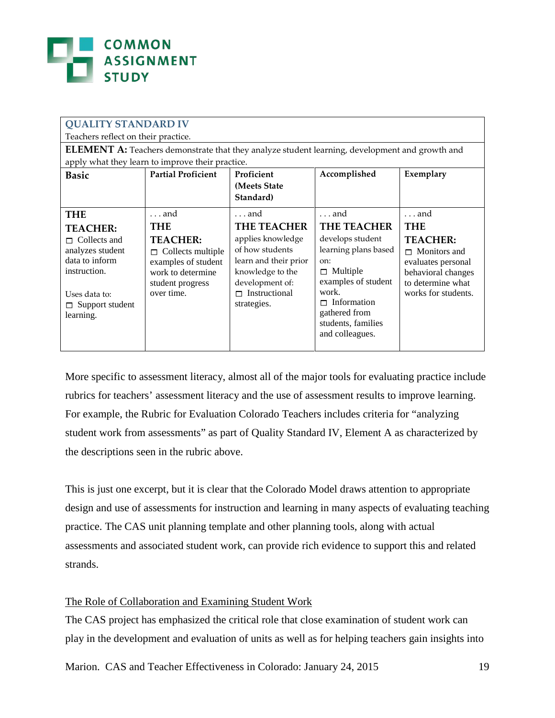

| <b>QUALITY STANDARD IV</b>                                                                            |                           |                       |                      |                     |  |  |  |
|-------------------------------------------------------------------------------------------------------|---------------------------|-----------------------|----------------------|---------------------|--|--|--|
| Teachers reflect on their practice.                                                                   |                           |                       |                      |                     |  |  |  |
| <b>ELEMENT A:</b> Teachers demonstrate that they analyze student learning, development and growth and |                           |                       |                      |                     |  |  |  |
| apply what they learn to improve their practice.                                                      |                           |                       |                      |                     |  |  |  |
| <b>Basic</b>                                                                                          | <b>Partial Proficient</b> | Proficient            | Accomplished         | Exemplary           |  |  |  |
|                                                                                                       |                           | (Meets State)         |                      |                     |  |  |  |
|                                                                                                       |                           | Standard)             |                      |                     |  |  |  |
| <b>THE</b>                                                                                            | and                       | $\dots$ and           | $\ldots$ and         | and                 |  |  |  |
| <b>TEACHER:</b>                                                                                       | THE                       | <b>THE TEACHER</b>    | <b>THE TEACHER</b>   | <b>THE</b>          |  |  |  |
| $\Box$ Collects and                                                                                   | <b>TEACHER:</b>           | applies knowledge     | develops student     | <b>TEACHER:</b>     |  |  |  |
| analyzes student                                                                                      | $\Box$ Collects multiple  | of how students       | learning plans based | $\Box$ Monitors and |  |  |  |
| data to inform                                                                                        | examples of student       | learn and their prior | on:                  | evaluates personal  |  |  |  |
| instruction.                                                                                          | work to determine         | knowledge to the      | $\Box$ Multiple      | behavioral changes  |  |  |  |
|                                                                                                       | student progress          | development of:       | examples of student  | to determine what   |  |  |  |
| Uses data to:                                                                                         | over time.                | $\Box$ Instructional  | work.                | works for students. |  |  |  |
| $\Box$ Support student                                                                                |                           | strategies.           | Information<br>ш     |                     |  |  |  |
| learning.                                                                                             |                           |                       | gathered from        |                     |  |  |  |
|                                                                                                       |                           |                       | students, families   |                     |  |  |  |
|                                                                                                       |                           |                       | and colleagues.      |                     |  |  |  |
|                                                                                                       |                           |                       |                      |                     |  |  |  |

More specific to assessment literacy, almost all of the major tools for evaluating practice include rubrics for teachers' assessment literacy and the use of assessment results to improve learning. For example, the Rubric for Evaluation Colorado Teachers includes criteria for "analyzing student work from assessments" as part of Quality Standard IV, Element A as characterized by the descriptions seen in the rubric above.

This is just one excerpt, but it is clear that the Colorado Model draws attention to appropriate design and use of assessments for instruction and learning in many aspects of evaluating teaching practice. The CAS unit planning template and other planning tools, along with actual assessments and associated student work, can provide rich evidence to support this and related strands.

#### The Role of Collaboration and Examining Student Work

The CAS project has emphasized the critical role that close examination of student work can play in the development and evaluation of units as well as for helping teachers gain insights into

Marion. CAS and Teacher Effectiveness in Colorado: January 24, 2015 19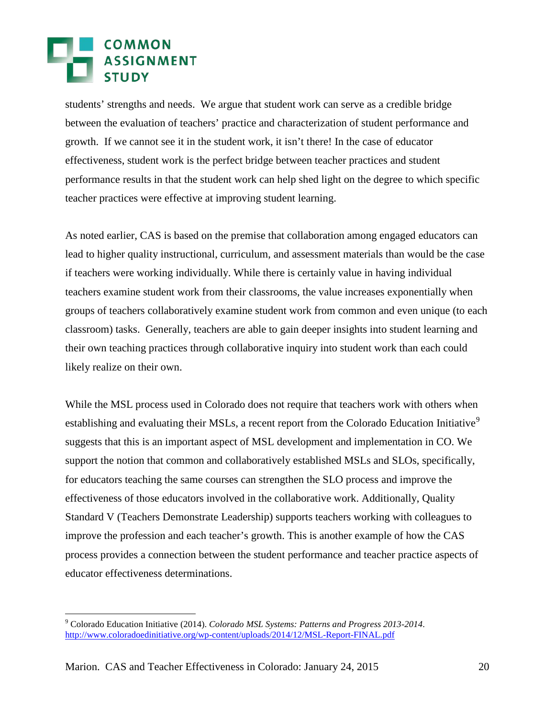students' strengths and needs. We argue that student work can serve as a credible bridge between the evaluation of teachers' practice and characterization of student performance and growth. If we cannot see it in the student work, it isn't there! In the case of educator effectiveness, student work is the perfect bridge between teacher practices and student performance results in that the student work can help shed light on the degree to which specific teacher practices were effective at improving student learning.

As noted earlier, CAS is based on the premise that collaboration among engaged educators can lead to higher quality instructional, curriculum, and assessment materials than would be the case if teachers were working individually. While there is certainly value in having individual teachers examine student work from their classrooms, the value increases exponentially when groups of teachers collaboratively examine student work from common and even unique (to each classroom) tasks. Generally, teachers are able to gain deeper insights into student learning and their own teaching practices through collaborative inquiry into student work than each could likely realize on their own.

While the MSL process used in Colorado does not require that teachers work with others when establishing and evaluating their MSLs, a recent report from the Colorado Education Initiative<sup>[9](#page-16-0)</sup> suggests that this is an important aspect of MSL development and implementation in CO. We support the notion that common and collaboratively established MSLs and SLOs, specifically, for educators teaching the same courses can strengthen the SLO process and improve the effectiveness of those educators involved in the collaborative work. Additionally, Quality Standard V (Teachers Demonstrate Leadership) supports teachers working with colleagues to improve the profession and each teacher's growth. This is another example of how the CAS process provides a connection between the student performance and teacher practice aspects of educator effectiveness determinations.

<span id="page-19-0"></span> <sup>9</sup> Colorado Education Initiative (2014). *Colorado MSL Systems: Patterns and Progress 2013-2014*. <http://www.coloradoedinitiative.org/wp-content/uploads/2014/12/MSL-Report-FINAL.pdf>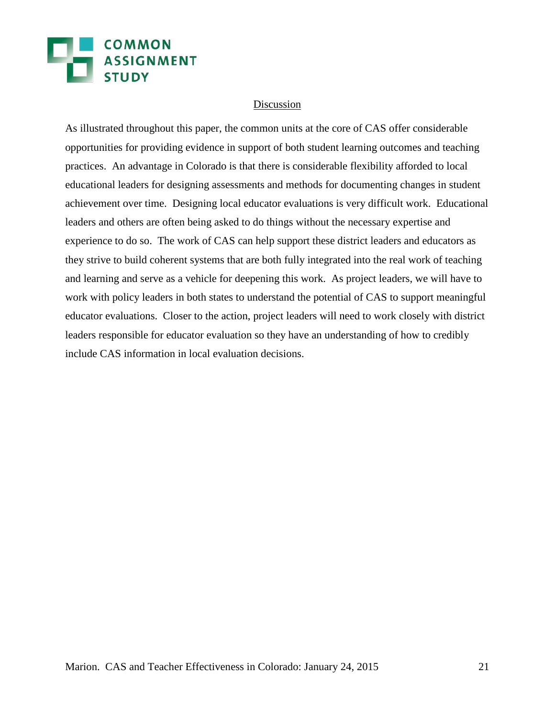## **EN COMMON<br>ASSIGNMENT**

#### Discussion

As illustrated throughout this paper, the common units at the core of CAS offer considerable opportunities for providing evidence in support of both student learning outcomes and teaching practices. An advantage in Colorado is that there is considerable flexibility afforded to local educational leaders for designing assessments and methods for documenting changes in student achievement over time. Designing local educator evaluations is very difficult work. Educational leaders and others are often being asked to do things without the necessary expertise and experience to do so. The work of CAS can help support these district leaders and educators as they strive to build coherent systems that are both fully integrated into the real work of teaching and learning and serve as a vehicle for deepening this work. As project leaders, we will have to work with policy leaders in both states to understand the potential of CAS to support meaningful educator evaluations. Closer to the action, project leaders will need to work closely with district leaders responsible for educator evaluation so they have an understanding of how to credibly include CAS information in local evaluation decisions.